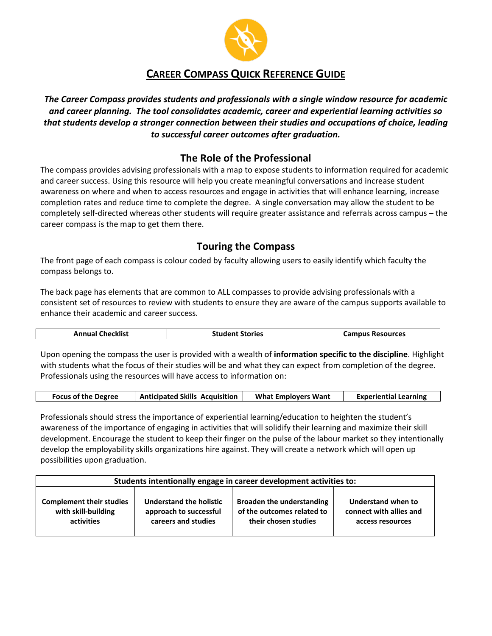

## **CAREER COMPASS QUICK REFERENCE GUIDE**

*The Career Compass provides students and professionals with a single window resource for academic and career planning. The tool consolidates academic, career and experiential learning activities so that students develop a stronger connection between their studies and occupations of choice, leading to successful career outcomes after graduation.*

## **The Role of the Professional**

The compass provides advising professionals with a map to expose students to information required for academic and career success. Using this resource will help you create meaningful conversations and increase student awareness on where and when to access resources and engage in activities that will enhance learning, increase completion rates and reduce time to complete the degree. A single conversation may allow the student to be completely self-directed whereas other students will require greater assistance and referrals across campus – the career compass is the map to get them there.

## **Touring the Compass**

The front page of each compass is colour coded by faculty allowing users to easily identify which faculty the compass belongs to.

The back page has elements that are common to ALL compasses to provide advising professionals with a consistent set of resources to review with students to ensure they are aware of the campus supports available to enhance their academic and career success.

| <b>Annual Checklist</b> | <b>Student Stories</b> | <b>Campus Resources</b> |
|-------------------------|------------------------|-------------------------|
|                         |                        |                         |

Upon opening the compass the user is provided with a wealth of **information specific to the discipline**. Highlight with students what the focus of their studies will be and what they can expect from completion of the degree. Professionals using the resources will have access to information on:

|  | <b>Focus of the Degree</b> | <b>Anticipated Skills Acquisition</b> | <b>What Employers Want</b> | <b>Experiential Learning</b> |
|--|----------------------------|---------------------------------------|----------------------------|------------------------------|
|--|----------------------------|---------------------------------------|----------------------------|------------------------------|

Professionals should stress the importance of experiential learning/education to heighten the student's awareness of the importance of engaging in activities that will solidify their learning and maximize their skill development. Encourage the student to keep their finger on the pulse of the labour market so they intentionally develop the employability skills organizations hire against. They will create a network which will open up possibilities upon graduation.

| Students intentionally engage in career development activities to: |                         |                                  |                         |  |
|--------------------------------------------------------------------|-------------------------|----------------------------------|-------------------------|--|
| <b>Complement their studies</b>                                    | Understand the holistic | <b>Broaden the understanding</b> | Understand when to      |  |
| with skill-building                                                | approach to successful  | of the outcomes related to       | connect with allies and |  |
| activities                                                         | careers and studies     | their chosen studies             | access resources        |  |